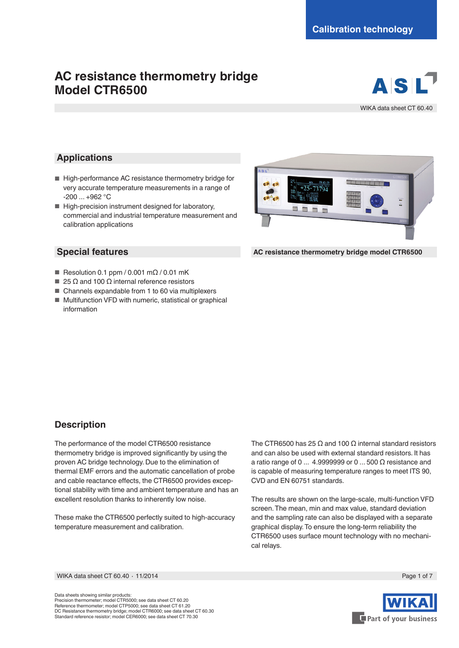# **AC resistance thermometry bridge Model CTR6500**



WIKA data sheet CT 60.40

### **Applications**

- High-performance AC resistance thermometry bridge for very accurate temperature measurements in a range of -200 ... +962 °C
- High-precision instrument designed for laboratory, commercial and industrial temperature measurement and calibration applications

#### **Special features**

- Resolution 0.1 ppm / 0.001 mΩ / 0.01 mK
- 25 Ω and 100 Ω internal reference resistors
- Channels expandable from 1 to 60 via multiplexers
- Multifunction VFD with numeric, statistical or graphical information



**AC resistance thermometry bridge model CTR6500**

### **Description**

The performance of the model CTR6500 resistance thermometry bridge is improved significantly by using the proven AC bridge technology. Due to the elimination of thermal EMF errors and the automatic cancellation of probe and cable reactance effects, the CTR6500 provides exceptional stability with time and ambient temperature and has an excellent resolution thanks to inherently low noise.

These make the CTR6500 perfectly suited to high-accuracy temperature measurement and calibration.

The CTR6500 has 25 Ω and 100 Ω internal standard resistors and can also be used with external standard resistors. It has a ratio range of 0  $\dots$  4.9999999 or 0  $\dots$  500  $\Omega$  resistance and is capable of measuring temperature ranges to meet ITS 90, CVD and EN 60751 standards.

The results are shown on the large-scale, multi-function VFD screen. The mean, min and max value, standard deviation and the sampling rate can also be displayed with a separate graphical display. To ensure the long-term reliability the CTR6500 uses surface mount technology with no mechanical relays.

WIKA data sheet CT 60.40 ⋅ 11/2014 Page 1 of 7

Data sheets showing similar products: Precision thermometer; model CTR5000; see data sheet CT 60.20 Reference thermometer; model CTP5000; see data sheet CT 61.20 DC Resistance thermometry bridge; model CTR6000; see data sheet CT 60.30 Standard reference resistor; model CER6000; see data sheet CT 70.30

Part of your business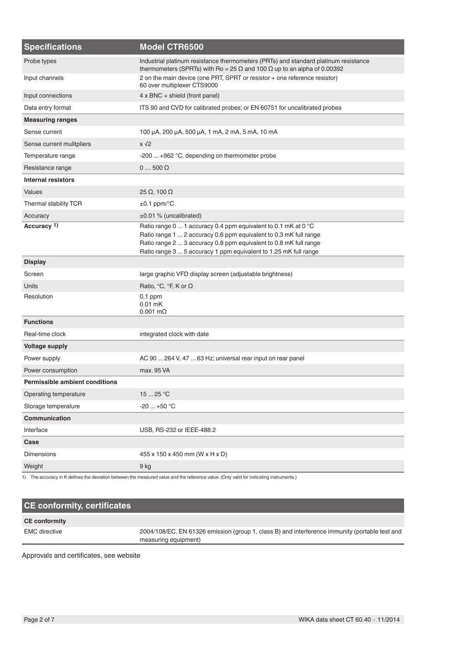| <b>Specifications</b>                 | Model CTR6500                                                                                                                                                                                                                                                                |
|---------------------------------------|------------------------------------------------------------------------------------------------------------------------------------------------------------------------------------------------------------------------------------------------------------------------------|
| Probe types                           | Industrial platinum resistance thermometers (PRTs) and standard platinum resistance<br>thermometers (SPRTs) with Ro = 25 $\Omega$ and 100 $\Omega$ up to an alpha of 0.00392                                                                                                 |
| Input channels                        | 2 on the main device (one PRT, SPRT or resistor + one reference resistor)<br>60 over multiplexer CTS9000                                                                                                                                                                     |
| Input connections                     | $4 \times BNC +$ shield (front panel)                                                                                                                                                                                                                                        |
| Data entry format                     | ITS 90 and CVD for calibrated probes; or EN 60751 for uncalibrated probes                                                                                                                                                                                                    |
| <b>Measuring ranges</b>               |                                                                                                                                                                                                                                                                              |
| Sense current                         | 100 μA, 200 μA, 500 μA, 1 mA, 2 mA, 5 mA, 10 mA                                                                                                                                                                                                                              |
| Sense current mulitpliers             | $x\sqrt{2}$                                                                                                                                                                                                                                                                  |
| Temperature range                     | -200  +962 °C, depending on thermometer probe                                                                                                                                                                                                                                |
| Resistance range                      | $0500\Omega$                                                                                                                                                                                                                                                                 |
| <b>Internal resistors</b>             |                                                                                                                                                                                                                                                                              |
| Values                                | $25 \Omega$ , 100 $\Omega$                                                                                                                                                                                                                                                   |
| Thermal stability TCR                 | $\pm 0.1$ ppm/ $\mathrm{^{\circ}C}$                                                                                                                                                                                                                                          |
| Accuracy                              | $\pm 0.01$ % (uncalibrated)                                                                                                                                                                                                                                                  |
| Accuracy <sup>1)</sup>                | Ratio range 0  1 accuracy 0.4 ppm equivalent to 0.1 mK at 0 °C<br>Ratio range 1  2 accuracy 0.6 ppm equivalent to 0.3 mK full range<br>Ratio range 2  3 accuracy 0.8 ppm equivalent to 0.8 mK full range<br>Ratio range 3  5 accuracy 1 ppm equivalent to 1.25 mK full range |
| <b>Display</b>                        |                                                                                                                                                                                                                                                                              |
| Screen                                | large graphic VFD display screen (adjustable brightness)                                                                                                                                                                                                                     |
| Units                                 | Ratio, ${}^{\circ}C$ , ${}^{\circ}F$ , K or $\Omega$                                                                                                                                                                                                                         |
| Resolution                            | $0.1$ ppm<br>$0.01$ mK<br>$0.001$ m $\Omega$                                                                                                                                                                                                                                 |
| <b>Functions</b>                      |                                                                                                                                                                                                                                                                              |
| Real-time clock                       | integrated clock with date                                                                                                                                                                                                                                                   |
| <b>Voltage supply</b>                 |                                                                                                                                                                                                                                                                              |
| Power supply                          | AC 90  264 V, 47  63 Hz; universal rear input on rear panel                                                                                                                                                                                                                  |
| Power consumption                     | max, 95 VA                                                                                                                                                                                                                                                                   |
| <b>Permissible ambient conditions</b> |                                                                                                                                                                                                                                                                              |
| Operating temperature                 | 1525 °C                                                                                                                                                                                                                                                                      |
| Storage temperature                   | $-20+50 °C$                                                                                                                                                                                                                                                                  |
| Communication                         |                                                                                                                                                                                                                                                                              |
| Interface                             | USB, RS-232 or IEEE-488.2                                                                                                                                                                                                                                                    |
| Case                                  |                                                                                                                                                                                                                                                                              |
| <b>Dimensions</b>                     | 455 x 150 x 450 mm (W x H x D)                                                                                                                                                                                                                                               |
| Weight                                | 9 kg                                                                                                                                                                                                                                                                         |

1) The accuracy in K defines the deviation between the measured value and the reference value. (Only valid for indicating instruments.)

## **CE conformity, certificates CE conformity** EMC directive 2004/108/EC, EN 61326 emission (group 1, class B) and interference immunity (portable test and measuring equipment)

Approvals and certificates, see website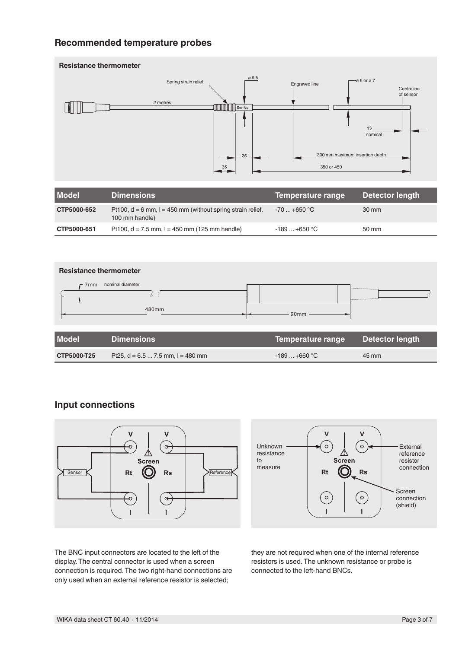### **Recommended temperature probes**



| <b>Model</b> | <b>Dimensions</b>                                                                | Temperature range | Detector length |
|--------------|----------------------------------------------------------------------------------|-------------------|-----------------|
| CTP5000-652  | Pt100, $d = 6$ mm, $l = 450$ mm (without spring strain relief,<br>100 mm handle) | $-70+650$ °C      | 30 mm           |
| CTP5000-651  | Pt100, $d = 7.5$ mm, $l = 450$ mm (125 mm handle)                                | $-189+650$ °C     | 50 mm           |



| <b>HUVUCH</b>      |                                       | <b>Temperature range Detector rengan</b> |       |
|--------------------|---------------------------------------|------------------------------------------|-------|
| <b>CTP5000-T25</b> | Pt25, $d = 6.5  7.5$ mm, $l = 480$ mm | $-189+660$ °C                            | 45 mm |

### **Input connections**





The BNC input connectors are located to the left of the display. The central connector is used when a screen connection is required. The two right-hand connections are only used when an external reference resistor is selected;

they are not required when one of the internal reference resistors is used. The unknown resistance or probe is connected to the left-hand BNCs.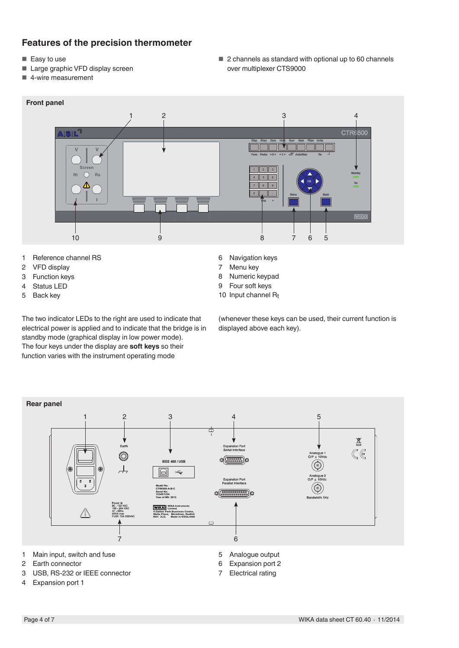### **Features of the precision thermometer**

- Easy to use
- Large graphic VFD display screen
- 4-wire measurement

■ 2 channels as standard with optional up to 60 channels over multiplexer CTS9000



- 1 Reference channel RS<br>2 VFD display
- **VFD** display
- 3 Function keys
- 4 Status LED
- 5 Back key

The two indicator LEDs to the right are used to indicate that electrical power is applied and to indicate that the bridge is in standby mode (graphical display in low power mode). The four keys under the display are **soft keys** so their function varies with the instrument operating mode

- 6 Navigation keys<br>7 Menu kev
- Menu key
- 8 Numeric keypad
- 9 Four soft keys
- 10 Input channel Rt

(whenever these keys can be used, their current function is displayed above each key).



- 2 Earth connector
- 3 USB, RS-232 or IEEE connector
- 4 Expansion port 1
- 6 Expansion port 2
- 7 Electrical rating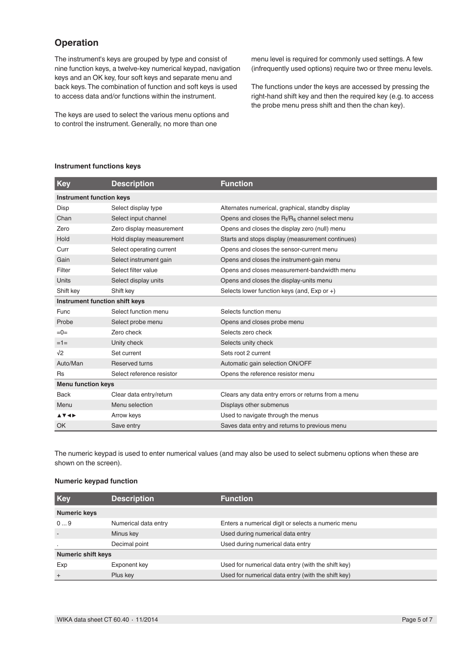### **Operation**

The instrument's keys are grouped by type and consist of nine function keys, a twelve-key numerical keypad, navigation keys and an OK key, four soft keys and separate menu and back keys. The combination of function and soft keys is used to access data and/or functions within the instrument.

The keys are used to select the various menu options and to control the instrument. Generally, no more than one

menu level is required for commonly used settings. A few (infrequently used options) require two or three menu levels.

The functions under the keys are accessed by pressing the right-hand shift key and then the required key (e.g. to access the probe menu press shift and then the chan key).

#### **Instrument functions keys**

| Key                                        | <b>Description</b>        | <b>Function</b>                                     |
|--------------------------------------------|---------------------------|-----------------------------------------------------|
| <b>Instrument function keys</b>            |                           |                                                     |
| Disp                                       | Select display type       | Alternates numerical, graphical, standby display    |
| Chan                                       | Select input channel      | Opens and closes the $R_t/R_s$ channel select menu  |
| Zero                                       | Zero display measurement  | Opens and closes the display zero (null) menu       |
| Hold                                       | Hold display measurement  | Starts and stops display (measurement continues)    |
| Curr                                       | Select operating current  | Opens and closes the sensor-current menu            |
| Gain                                       | Select instrument gain    | Opens and closes the instrument-gain menu           |
| Filter                                     | Select filter value       | Opens and closes measurement-bandwidth menu         |
| Units                                      | Select display units      | Opens and closes the display-units menu             |
| Shift key                                  | Shift key                 | Selects lower function keys (and, Exp or +)         |
| Instrument function shift keys             |                           |                                                     |
| Func                                       | Select function menu      | Selects function menu                               |
| Probe                                      | Select probe menu         | Opens and closes probe menu                         |
| $=0=$                                      | Zero check                | Selects zero check                                  |
| $=1=$                                      | Unity check               | Selects unity check                                 |
| $\sqrt{2}$                                 | Set current               | Sets root 2 current                                 |
| Auto/Man                                   | <b>Reserved turns</b>     | Automatic gain selection ON/OFF                     |
| <b>Rs</b>                                  | Select reference resistor | Opens the reference resistor menu                   |
| <b>Menu function keys</b>                  |                           |                                                     |
| <b>Back</b>                                | Clear data entry/return   | Clears any data entry errors or returns from a menu |
| Menu                                       | Menu selection            | Displays other submenus                             |
| $\blacktriangle$ V < $\blacktriangleright$ | Arrow keys                | Used to navigate through the menus                  |
| OK                                         | Save entry                | Saves data entry and returns to previous menu       |

The numeric keypad is used to enter numerical values (and may also be used to select submenu options when these are shown on the screen).

#### **Numeric keypad function**

| <b>Key</b>                | <b>Description</b>   | <b>Function</b>                                    |
|---------------------------|----------------------|----------------------------------------------------|
| <b>Numeric keys</b>       |                      |                                                    |
| 09                        | Numerical data entry | Enters a numerical digit or selects a numeric menu |
|                           | Minus key            | Used during numerical data entry                   |
| $\cdot$                   | Decimal point        | Used during numerical data entry                   |
| <b>Numeric shift keys</b> |                      |                                                    |
| Exp                       | Exponent key         | Used for numerical data entry (with the shift key) |
| $+$                       | Plus key             | Used for numerical data entry (with the shift key) |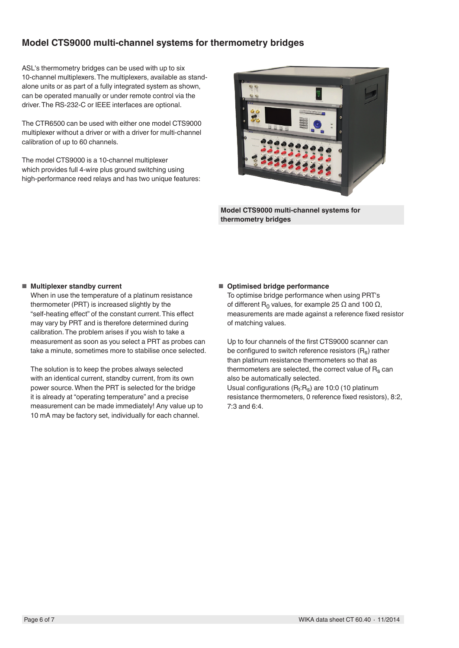### **Model CTS9000 multi-channel systems for thermometry bridges**

ASL's thermometry bridges can be used with up to six 10-channel multiplexers. The multiplexers, available as standalone units or as part of a fully integrated system as shown, can be operated manually or under remote control via the driver. The RS-232-C or IEEE interfaces are optional.

The CTR6500 can be used with either one model CTS9000 multiplexer without a driver or with a driver for multi-channel calibration of up to 60 channels.

The model CTS9000 is a 10-channel multiplexer which provides full 4-wire plus ground switching using high-performance reed relays and has two unique features:



**Model CTS9000 multi-channel systems for thermometry bridges**

#### ■ **Multiplexer standby current**

When in use the temperature of a platinum resistance thermometer (PRT) is increased slightly by the "self-heating effect" of the constant current. This effect may vary by PRT and is therefore determined during calibration. The problem arises if you wish to take a measurement as soon as you select a PRT as probes can take a minute, sometimes more to stabilise once selected.

The solution is to keep the probes always selected with an identical current, standby current, from its own power source. When the PRT is selected for the bridge it is already at "operating temperature" and a precise measurement can be made immediately! Any value up to 10 mA may be factory set, individually for each channel.

#### ■ **Optimised bridge performance**

To optimise bridge performance when using PRT's of different R<sub>0</sub> values, for example 25 Ω and 100 Ω, measurements are made against a reference fixed resistor of matching values.

Up to four channels of the first CTS9000 scanner can be configured to switch reference resistors  $(R_s)$  rather than platinum resistance thermometers so that as thermometers are selected, the correct value of  $R_s$  can also be automatically selected. Usual configurations  $(R_t:R_s)$  are 10:0 (10 platinum

resistance thermometers, 0 reference fixed resistors), 8:2, 7:3 and 6:4.